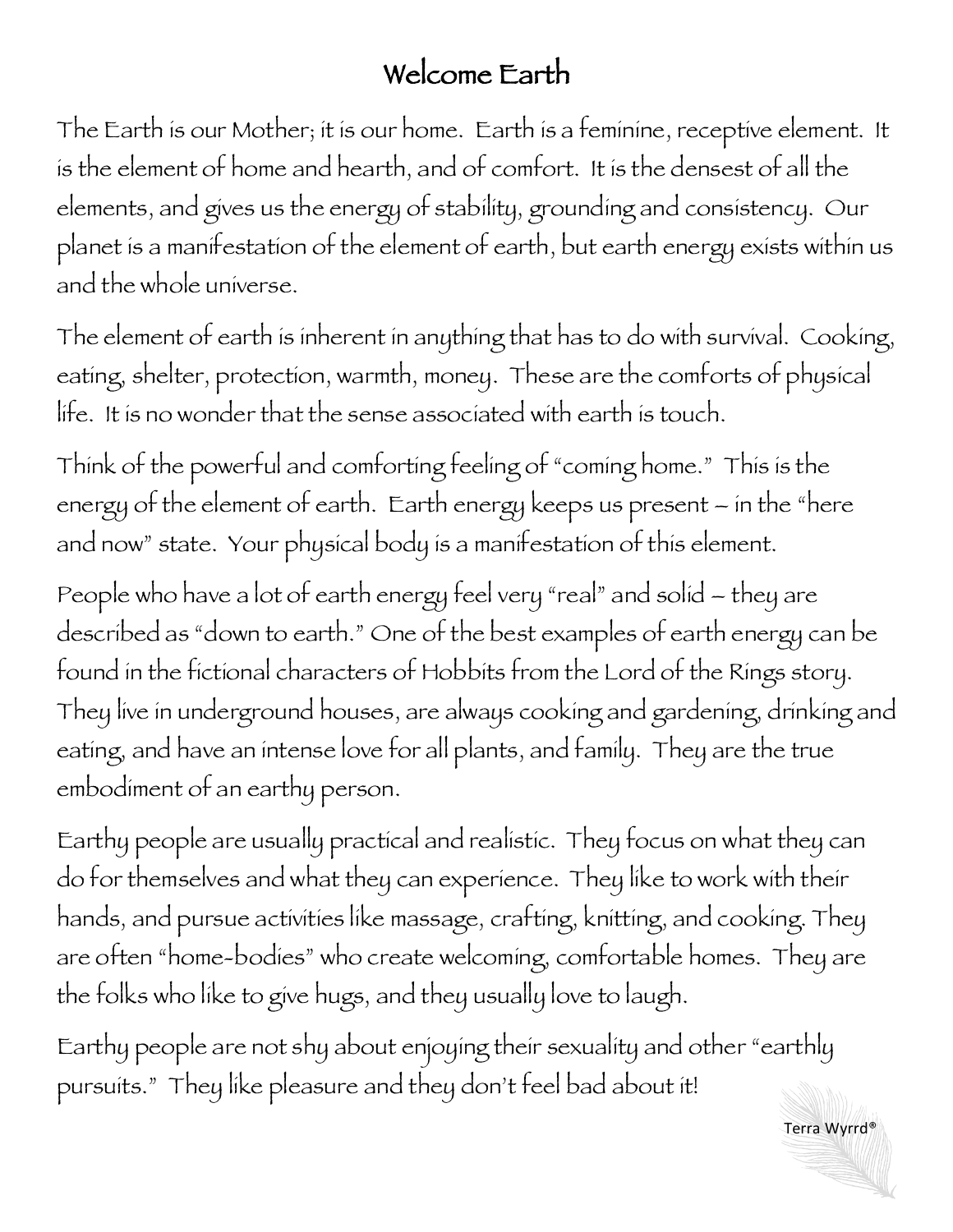## Welcome Earth

The Earth is our Mother; it is our home. Earth is a feminine, receptive element. It is the element of home and hearth, and of comfort. It is the densest of all the elements, and gives us the energy of stability, grounding and consistency. Our planet is a manifestation of the element of earth, but earth energy exists within us and the whole universe.

The element of earth is inherent in anything that has to do with survival. Cooking, eating, shelter, protection, warmth, money. These are the comforts of physical life. It is no wonder that the sense associated with earth is touch.

Think of the powerful and comforting feeling of "coming home." This is the energy of the element of earth. Earth energy keeps us present – in the "here and now" state. Your physical body is a manifestation of this element.

People who have a lot of earth energy feel very "real" and solid – they are described as "down to earth." One of the best examples of earth energy can be found in the fictional characters of Hobbits from the Lord of the Rings story. They live in underground houses, are always cooking and gardening, drinking and eating, and have an intense love for all plants, and family. They are the true embodiment of an earthy person.

Earthy people are usually practical and realistic. They focus on what they can do for themselves and what they can experience. They like to work with their hands, and pursue activities like massage, crafting, knitting, and cooking. They are often "home-bodies" who create welcoming, comfortable homes. They are the folks who like to give hugs, and they usually love to laugh.

Earthy people are not shy about enjoying their sexuality and other "earthly pursuits." They like pleasure and they don't feel bad about it!

Terra Wyrrd®